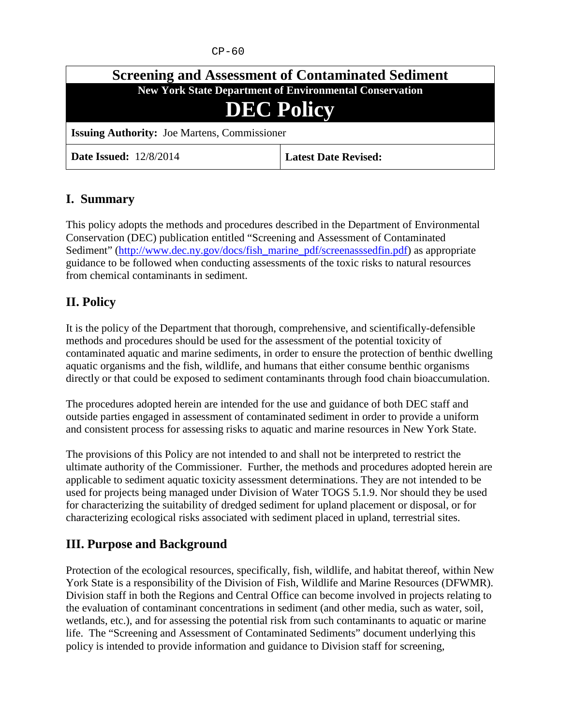$CP-60$ 

| <b>Screening and Assessment of Contaminated Sediment</b>       |                             |
|----------------------------------------------------------------|-----------------------------|
| <b>New York State Department of Environmental Conservation</b> |                             |
| <b>DEC Policy</b>                                              |                             |
| <b>Issuing Authority:</b> Joe Martens, Commissioner            |                             |
| <b>Date Issued:</b> 12/8/2014                                  | <b>Latest Date Revised:</b> |

#### **I. Summary**

This policy adopts the methods and procedures described in the Department of Environmental Conservation (DEC) publication entitled "Screening and Assessment of Contaminated Sediment" [\(http://www.dec.ny.gov/docs/fish\\_marine\\_pdf/screenasssedfin.pdf\)](http://www.dec.ny.gov/docs/fish_marine_pdf/screenasssedfin.pdf) as appropriate guidance to be followed when conducting assessments of the toxic risks to natural resources from chemical contaminants in sediment.

### **II. Policy**

It is the policy of the Department that thorough, comprehensive, and scientifically-defensible methods and procedures should be used for the assessment of the potential toxicity of contaminated aquatic and marine sediments, in order to ensure the protection of benthic dwelling aquatic organisms and the fish, wildlife, and humans that either consume benthic organisms directly or that could be exposed to sediment contaminants through food chain bioaccumulation.

The procedures adopted herein are intended for the use and guidance of both DEC staff and outside parties engaged in assessment of contaminated sediment in order to provide a uniform and consistent process for assessing risks to aquatic and marine resources in New York State.

The provisions of this Policy are not intended to and shall not be interpreted to restrict the ultimate authority of the Commissioner. Further, the methods and procedures adopted herein are applicable to sediment aquatic toxicity assessment determinations. They are not intended to be used for projects being managed under Division of Water TOGS 5.1.9. Nor should they be used for characterizing the suitability of dredged sediment for upland placement or disposal, or for characterizing ecological risks associated with sediment placed in upland, terrestrial sites.

### **III. Purpose and Background**

Protection of the ecological resources, specifically, fish, wildlife, and habitat thereof, within New York State is a responsibility of the Division of Fish, Wildlife and Marine Resources (DFWMR). Division staff in both the Regions and Central Office can become involved in projects relating to the evaluation of contaminant concentrations in sediment (and other media, such as water, soil, wetlands, etc.), and for assessing the potential risk from such contaminants to aquatic or marine life. The "Screening and Assessment of Contaminated Sediments" document underlying this policy is intended to provide information and guidance to Division staff for screening,